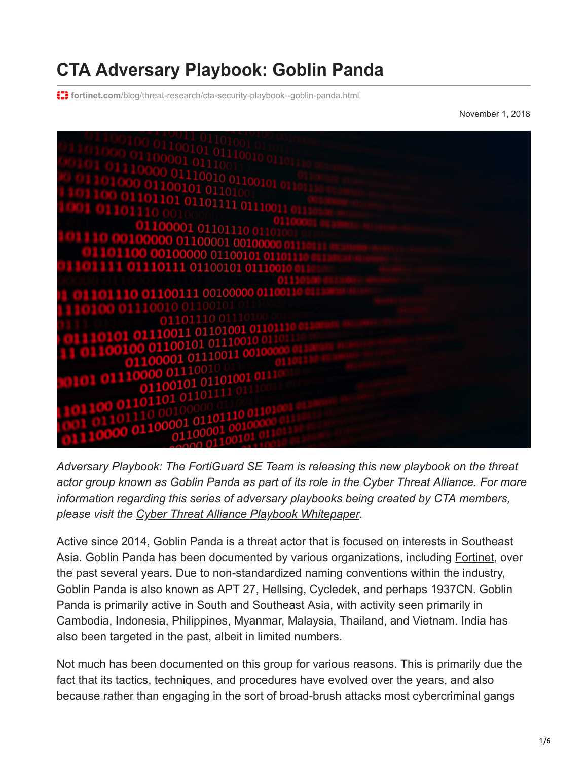## **CTA Adversary Playbook: Goblin Panda**

**f: fortinet.com[/blog/threat-research/cta-security-playbook--goblin-panda.html](https://www.fortinet.com/blog/threat-research/cta-security-playbook--goblin-panda.html)** 

November 1, 2018



*Adversary Playbook: The FortiGuard SE Team is releasing this new playbook on the threat actor group known as Goblin Panda as part of its role in the Cyber Threat Alliance. For more information regarding this series of adversary playbooks being created by CTA members, please visit the [Cyber Threat Alliance Playbook Whitepaper](https://www.cyberthreatalliance.org/wp-content/uploads/2018/04/CTA_Adversary-Playbook-Principles_White-Paper.pdf).*

Active since 2014, Goblin Panda is a threat actor that is focused on interests in Southeast Asia. Goblin Panda has been documented by various organizations, including [Fortinet](https://www.fortinet.com/blog/threat-research/rehashed-rat-used-in-apt-campaign-against-vietnamese-organizations.html), over the past several years. Due to non-standardized naming conventions within the industry, Goblin Panda is also known as APT 27, Hellsing, Cycledek, and perhaps 1937CN. Goblin Panda is primarily active in South and Southeast Asia, with activity seen primarily in Cambodia, Indonesia, Philippines, Myanmar, Malaysia, Thailand, and Vietnam. India has also been targeted in the past, albeit in limited numbers.

Not much has been documented on this group for various reasons. This is primarily due the fact that its tactics, techniques, and procedures have evolved over the years, and also because rather than engaging in the sort of broad-brush attacks most cybercriminal gangs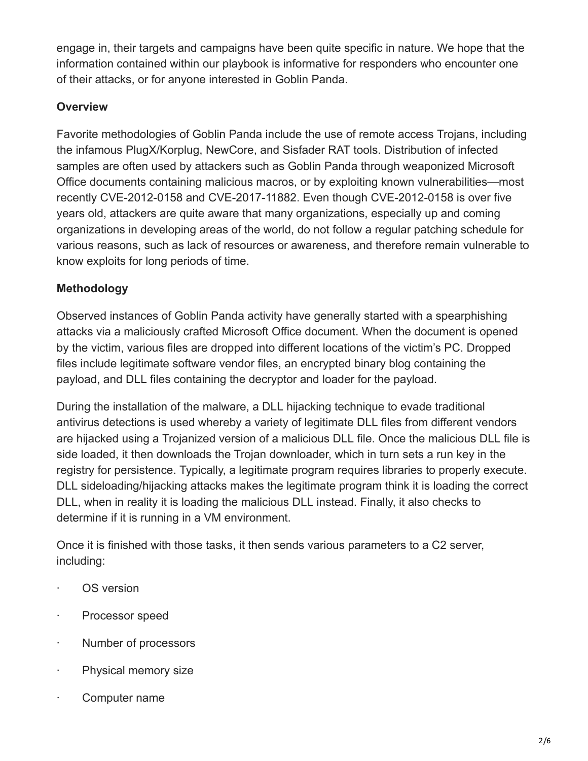engage in, their targets and campaigns have been quite specific in nature. We hope that the information contained within our playbook is informative for responders who encounter one of their attacks, or for anyone interested in Goblin Panda.

## **Overview**

Favorite methodologies of Goblin Panda include the use of remote access Trojans, including the infamous PlugX/Korplug, NewCore, and Sisfader RAT tools. Distribution of infected samples are often used by attackers such as Goblin Panda through weaponized Microsoft Office documents containing malicious macros, or by exploiting known vulnerabilities—most recently CVE-2012-0158 and CVE-2017-11882. Even though CVE-2012-0158 is over five years old, attackers are quite aware that many organizations, especially up and coming organizations in developing areas of the world, do not follow a regular patching schedule for various reasons, such as lack of resources or awareness, and therefore remain vulnerable to know exploits for long periods of time.

## **Methodology**

Observed instances of Goblin Panda activity have generally started with a spearphishing attacks via a maliciously crafted Microsoft Office document. When the document is opened by the victim, various files are dropped into different locations of the victim's PC. Dropped files include legitimate software vendor files, an encrypted binary blog containing the payload, and DLL files containing the decryptor and loader for the payload.

During the installation of the malware, a DLL hijacking technique to evade traditional antivirus detections is used whereby a variety of legitimate DLL files from different vendors are hijacked using a Trojanized version of a malicious DLL file. Once the malicious DLL file is side loaded, it then downloads the Trojan downloader, which in turn sets a run key in the registry for persistence. Typically, a legitimate program requires libraries to properly execute. DLL sideloading/hijacking attacks makes the legitimate program think it is loading the correct DLL, when in reality it is loading the malicious DLL instead. Finally, it also checks to determine if it is running in a VM environment.

Once it is finished with those tasks, it then sends various parameters to a C2 server, including:

- · OS version
- · Processor speed
- · Number of processors
- · Physical memory size
- Computer name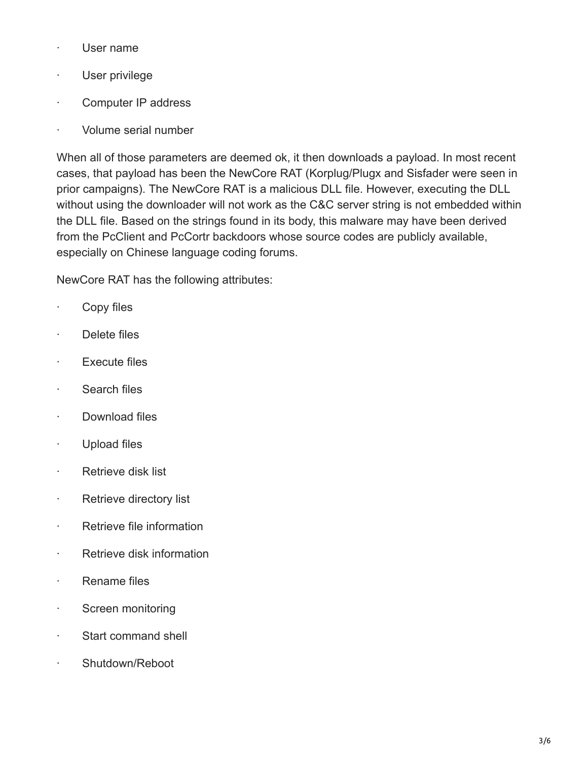- · User name
- · User privilege
- · Computer IP address
- · Volume serial number

When all of those parameters are deemed ok, it then downloads a payload. In most recent cases, that payload has been the NewCore RAT (Korplug/Plugx and Sisfader were seen in prior campaigns). The NewCore RAT is a malicious DLL file. However, executing the DLL without using the downloader will not work as the C&C server string is not embedded within the DLL file. Based on the strings found in its body, this malware may have been derived from the PcClient and PcCortr backdoors whose source codes are publicly available, especially on Chinese language coding forums.

NewCore RAT has the following attributes:

- · Copy files
- · Delete files
- · Execute files
- · Search files
- · Download files
- · Upload files
- · Retrieve disk list
- · Retrieve directory list
- · Retrieve file information
- · Retrieve disk information
- · Rename files
- · Screen monitoring
- · Start command shell
- Shutdown/Reboot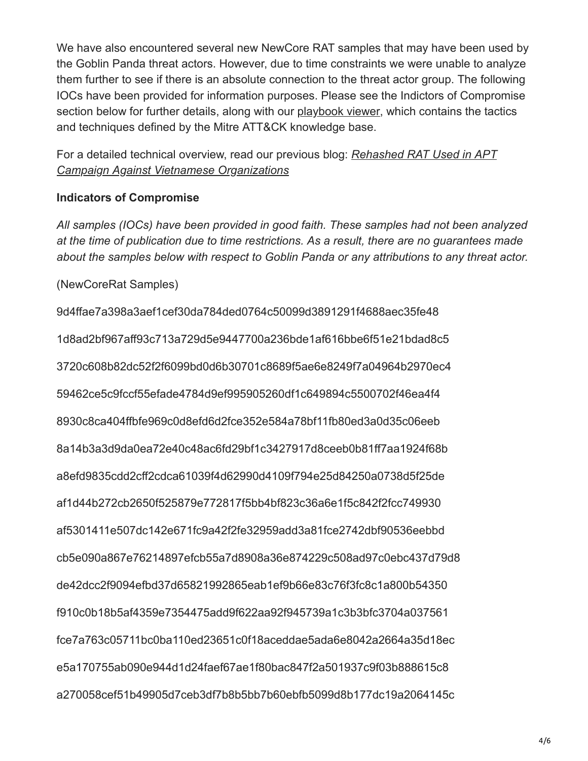We have also encountered several new NewCore RAT samples that may have been used by the Goblin Panda threat actors. However, due to time constraints we were unable to analyze them further to see if there is an absolute connection to the threat actor group. The following IOCs have been provided for information purposes. Please see the Indictors of Compromise section below for further details, along with our [playbook viewer,](https://www.fortiguard.com/playbook_viewer) which contains the tactics and techniques defined by the Mitre ATT&CK knowledge base.

[For a detailed technical overview, read our previous blog:](https://www.fortinet.com/blog/threat-research/rehashed-rat-used-in-apt-campaign-against-vietnamese-organizations.html) *Rehashed RAT Used in APT Campaign Against Vietnamese Organizations*

## **Indicators of Compromise**

*All samples (IOCs) have been provided in good faith. These samples had not been analyzed at the time of publication due to time restrictions. As a result, there are no guarantees made about the samples below with respect to Goblin Panda or any attributions to any threat actor.*

(NewCoreRat Samples)

9d4ffae7a398a3aef1cef30da784ded0764c50099d3891291f4688aec35fe48 1d8ad2bf967aff93c713a729d5e9447700a236bde1af616bbe6f51e21bdad8c5 3720c608b82dc52f2f6099bd0d6b30701c8689f5ae6e8249f7a04964b2970ec4 59462ce5c9fccf55efade4784d9ef995905260df1c649894c5500702f46ea4f4 8930c8ca404ffbfe969c0d8efd6d2fce352e584a78bf11fb80ed3a0d35c06eeb 8a14b3a3d9da0ea72e40c48ac6fd29bf1c3427917d8ceeb0b81ff7aa1924f68b a8efd9835cdd2cff2cdca61039f4d62990d4109f794e25d84250a0738d5f25de af1d44b272cb2650f525879e772817f5bb4bf823c36a6e1f5c842f2fcc749930 af5301411e507dc142e671fc9a42f2fe32959add3a81fce2742dbf90536eebbd cb5e090a867e76214897efcb55a7d8908a36e874229c508ad97c0ebc437d79d8 de42dcc2f9094efbd37d65821992865eab1ef9b66e83c76f3fc8c1a800b54350 f910c0b18b5af4359e7354475add9f622aa92f945739a1c3b3bfc3704a037561 fce7a763c05711bc0ba110ed23651c0f18aceddae5ada6e8042a2664a35d18ec e5a170755ab090e944d1d24faef67ae1f80bac847f2a501937c9f03b888615c8 a270058cef51b49905d7ceb3df7b8b5bb7b60ebfb5099d8b177dc19a2064145c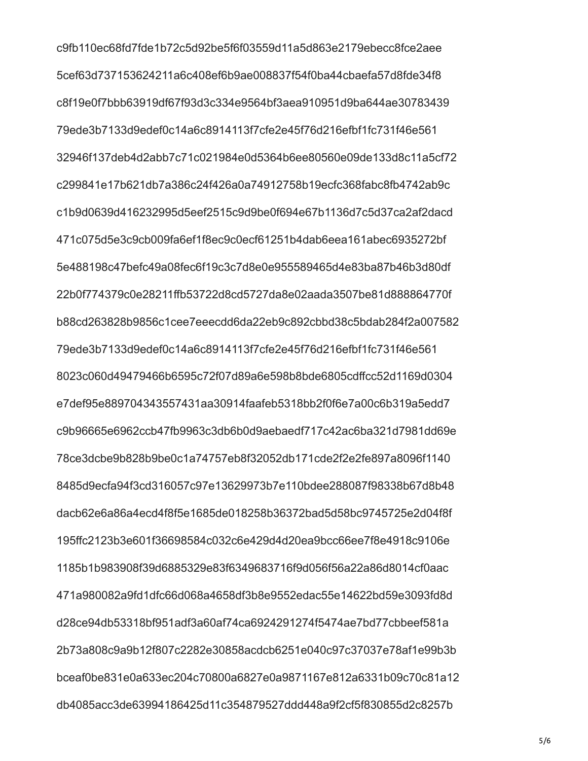c9fb110ec68fd7fde1b72c5d92be5f6f03559d11a5d863e2179ebecc8fce2aee 5cef63d737153624211a6c408ef6b9ae008837f54f0ba44cbaefa57d8fde34f8 c8f19e0f7bbb63919df67f93d3c334e9564bf3aea910951d9ba644ae30783439 79ede3b7133d9edef0c14a6c8914113f7cfe2e45f76d216efbf1fc731f46e561 32946f137deb4d2abb7c71c021984e0d5364b6ee80560e09de133d8c11a5cf72 c299841e17b621db7a386c24f426a0a74912758b19ecfc368fabc8fb4742ab9c c1b9d0639d416232995d5eef2515c9d9be0f694e67b1136d7c5d37ca2af2dacd 471c075d5e3c9cb009fa6ef1f8ec9c0ecf61251b4dab6eea161abec6935272bf 5e488198c47befc49a08fec6f19c3c7d8e0e955589465d4e83ba87b46b3d80df 22b0f774379c0e28211ffb53722d8cd5727da8e02aada3507be81d888864770f b88cd263828b9856c1cee7eeecdd6da22eb9c892cbbd38c5bdab284f2a007582 79ede3b7133d9edef0c14a6c8914113f7cfe2e45f76d216efbf1fc731f46e561 8023c060d49479466b6595c72f07d89a6e598b8bde6805cdffcc52d1169d0304 e7def95e889704343557431aa30914faafeb5318bb2f0f6e7a00c6b319a5edd7 c9b96665e6962ccb47fb9963c3db6b0d9aebaedf717c42ac6ba321d7981dd69e 78ce3dcbe9b828b9be0c1a74757eb8f32052db171cde2f2e2fe897a8096f1140 8485d9ecfa94f3cd316057c97e13629973b7e110bdee288087f98338b67d8b48 dacb62e6a86a4ecd4f8f5e1685de018258b36372bad5d58bc9745725e2d04f8f 195ffc2123b3e601f36698584c032c6e429d4d20ea9bcc66ee7f8e4918c9106e 1185b1b983908f39d6885329e83f6349683716f9d056f56a22a86d8014cf0aac 471a980082a9fd1dfc66d068a4658df3b8e9552edac55e14622bd59e3093fd8d d28ce94db53318bf951adf3a60af74ca6924291274f5474ae7bd77cbbeef581a 2b73a808c9a9b12f807c2282e30858acdcb6251e040c97c37037e78af1e99b3b bceaf0be831e0a633ec204c70800a6827e0a9871167e812a6331b09c70c81a12 db4085acc3de63994186425d11c354879527ddd448a9f2cf5f830855d2c8257b